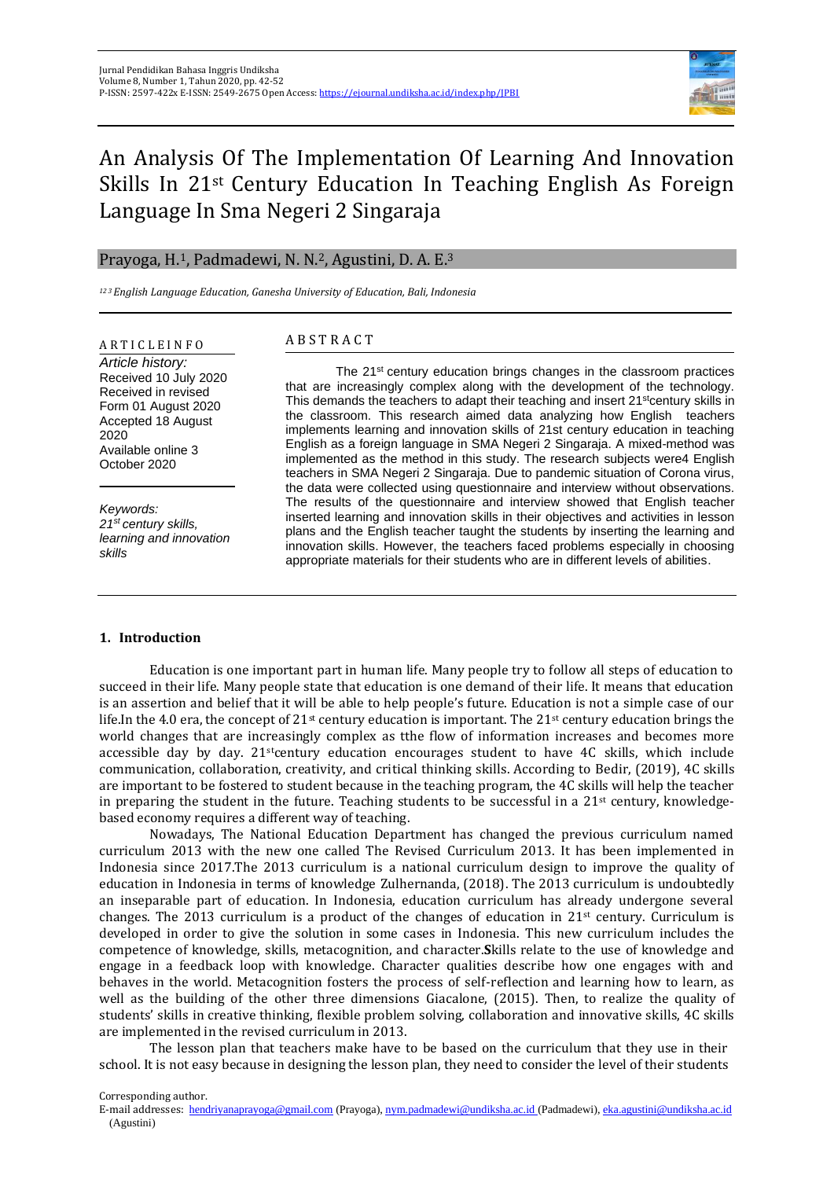

# An Analysis Of The Implementation Of Learning And Innovation Skills In 21st Century Education In Teaching English As Foreign Language In Sma Negeri 2 Singaraja

## Prayoga, H.1, Padmadewi, N. N.2, Agustini, D. A. E.<sup>3</sup>

*<sup>12</sup> <sup>3</sup>English Language Education, Ganesha University of Education, Bali, Indonesia*

# A R T I C L E I N F O

*Article history:* Received 10 July 2020 Received in revised Form 01 August 2020 Accepted 18 August 2020 Available online 3 October 2020

*Keywords: 21st century skills, learning and innovation skills*

## A B S T R A C T

The 21<sup>st</sup> century education brings changes in the classroom practices that are increasingly complex along with the development of the technology. This demands the teachers to adapt their teaching and insert  $21<sup>st</sup>$ century skills in the classroom. This research aimed data analyzing how English teachers implements learning and innovation skills of 21st century education in teaching English as a foreign language in SMA Negeri 2 Singaraja. A mixed-method was implemented as the method in this study. The research subjects were4 English teachers in SMA Negeri 2 Singaraja. Due to pandemic situation of Corona virus, the data were collected using questionnaire and interview without observations. The results of the questionnaire and interview showed that English teacher inserted learning and innovation skills in their objectives and activities in lesson plans and the English teacher taught the students by inserting the learning and innovation skills. However, the teachers faced problems especially in choosing appropriate materials for their students who are in different levels of abilities.

#### **1. Introduction**

Education is one important part in human life. Many people try to follow all steps of education to succeed in their life. Many people state that education is one demand of their life. It means that education is an assertion and belief that it will be able to help people's future. Education is not a simple case of our life.In the 4.0 era, the concept of  $21^{st}$  century education is important. The  $21^{st}$  century education brings the world changes that are increasingly complex as tthe flow of information increases and becomes more accessible day by day. 21stcentury education encourages student to have 4C skills, which include communication, collaboration, creativity, and critical thinking skills. According to Bedir, (2019), 4C skills are important to be fostered to student because in the teaching program, the 4C skills will help the teacher in preparing the student in the future. Teaching students to be successful in a  $21<sup>st</sup>$  century, knowledgebased economy requires a different way of teaching.

Nowadays, The National Education Department has changed the previous curriculum named curriculum 2013 with the new one called The Revised Curriculum 2013. It has been implemented in Indonesia since 2017.The 2013 curriculum is a national curriculum design to improve the quality of education in Indonesia in terms of knowledge Zulhernanda, (2018). The 2013 curriculum is undoubtedly an inseparable part of education. In Indonesia, education curriculum has already undergone several changes. The 2013 curriculum is a product of the changes of education in  $21<sup>st</sup>$  century. Curriculum is developed in order to give the solution in some cases in Indonesia. This new curriculum includes the competence of knowledge, skills, metacognition, and character.**S**kills relate to the use of knowledge and engage in a feedback loop with knowledge. Character qualities describe how one engages with and behaves in the world. Metacognition fosters the process of self-reflection and learning how to learn, as well as the building of the other three dimensions Giacalone, (2015). Then, to realize the quality of students' skills in creative thinking, flexible problem solving, collaboration and innovative skills, 4C skills are implemented in the revised curriculum in 2013.

The lesson plan that teachers make have to be based on the curriculum that they use in their school. It is not easy because in designing the lesson plan, they need to consider the level of their students

Corresponding author.

E-mail addresses: [hendriyanaprayoga@gmail.com](mailto:hendriyanaprayoga@gmail.com) (Prayoga)[, nym.padmadewi@undiksha.ac.id](mailto:nym.padmadewi@undiksha.ac.id) (Padmadewi)[, eka.agustini@undiksha.ac.id](mailto:eka.agustini@undiksha.ac.id) (Agustini)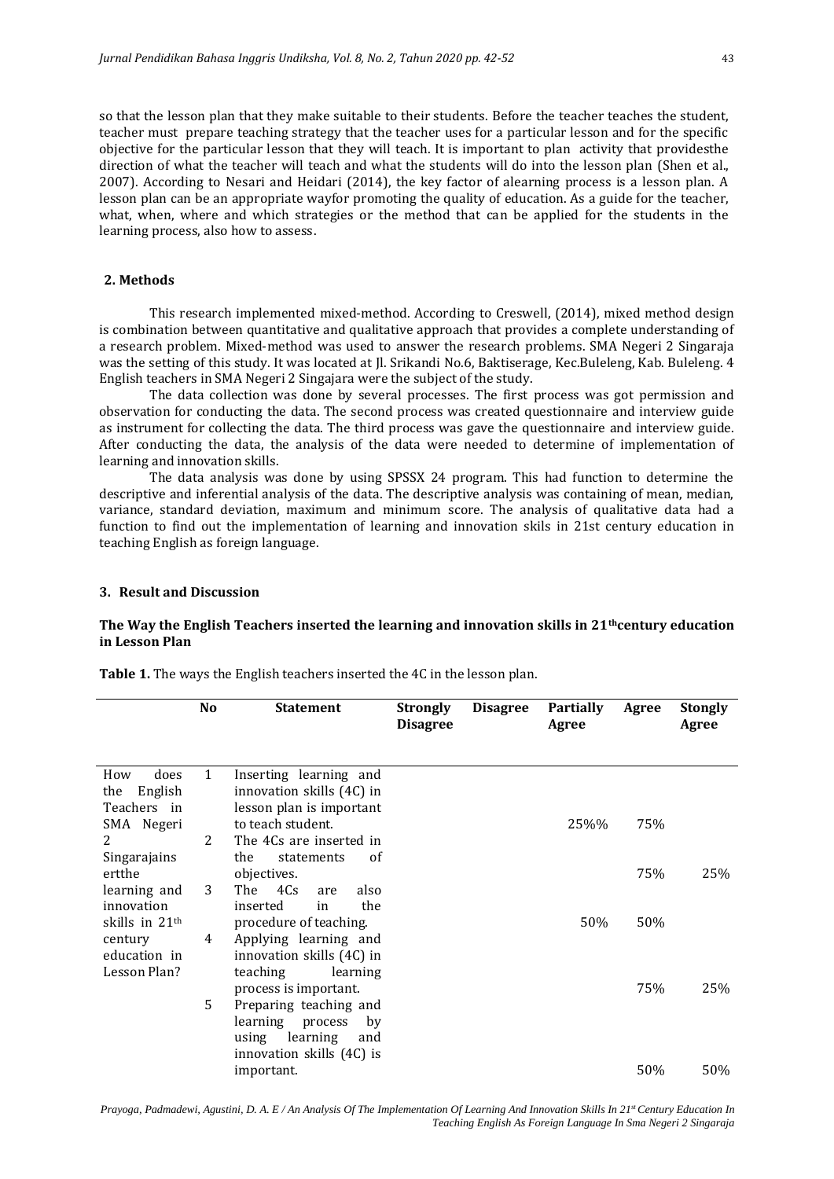so that the lesson plan that they make suitable to their students. Before the teacher teaches the student, teacher must prepare teaching strategy that the teacher uses for a particular lesson and for the specific objective for the particular lesson that they will teach. It is important to plan activity that providesthe direction of what the teacher will teach and what the students will do into the lesson plan (Shen et al., 2007). According to Nesari and Heidari (2014), the key factor of alearning process is a lesson plan. A lesson plan can be an appropriate wayfor promoting the quality of education. As a guide for the teacher, what, when, where and which strategies or the method that can be applied for the students in the learning process, also how to assess.

### **2. Methods**

This research implemented mixed-method. According to Creswell, (2014), mixed method design is combination between quantitative and qualitative approach that provides a complete understanding of a research problem. Mixed-method was used to answer the research problems. SMA Negeri 2 Singaraja was the setting of this study. It was located at Jl. Srikandi No.6, Baktiserage, Kec.Buleleng, Kab. Buleleng. 4 English teachers in SMA Negeri 2 Singajara were the subject of the study.

The data collection was done by several processes. The first process was got permission and observation for conducting the data. The second process was created questionnaire and interview guide as instrument for collecting the data. The third process was gave the questionnaire and interview guide. After conducting the data, the analysis of the data were needed to determine of implementation of learning and innovation skills.

The data analysis was done by using SPSSX 24 program. This had function to determine the descriptive and inferential analysis of the data. The descriptive analysis was containing of mean, median, variance, standard deviation, maximum and minimum score. The analysis of qualitative data had a function to find out the implementation of learning and innovation skils in 21st century education in teaching English as foreign language.

#### **3. Result and Discussion**

### **The Way the English Teachers inserted the learning and innovation skills in 21thcentury education in Lesson Plan**

|                               | No           | <b>Statement</b>                                    | Strongly<br><b>Disagree</b> | <b>Disagree</b> | <b>Partially</b><br>Agree | Agree | <b>Stongly</b><br>Agree |
|-------------------------------|--------------|-----------------------------------------------------|-----------------------------|-----------------|---------------------------|-------|-------------------------|
| does<br>How<br>English<br>the | $\mathbf{1}$ | Inserting learning and<br>innovation skills (4C) in |                             |                 |                           |       |                         |
| Teachers in                   |              | lesson plan is important                            |                             |                 |                           |       |                         |
| SMA Negeri                    |              | to teach student.                                   |                             |                 | 25%%                      | 75%   |                         |
| 2                             | 2            | The 4Cs are inserted in<br>the<br><sub>of</sub>     |                             |                 |                           |       |                         |
| Singarajains<br>ertthe        |              | statements<br>objectives.                           |                             |                 |                           | 75%   | 25%                     |
| learning and<br>innovation    | 3            | The<br>4Cs<br>also<br>are<br>the<br>inserted<br>in  |                             |                 |                           |       |                         |
| skills in 21 <sup>th</sup>    |              | procedure of teaching.                              |                             |                 | 50%                       | 50%   |                         |
| century                       | 4            | Applying learning and                               |                             |                 |                           |       |                         |
| education in<br>Lesson Plan?  |              | innovation skills (4C) in                           |                             |                 |                           |       |                         |
|                               |              | teaching<br>learning<br>process is important.       |                             |                 |                           | 75%   | 25%                     |
|                               | 5            | Preparing teaching and                              |                             |                 |                           |       |                         |
|                               |              | learning<br>process<br>by                           |                             |                 |                           |       |                         |
|                               |              | using learning<br>and<br>innovation skills (4C) is  |                             |                 |                           |       |                         |
|                               |              | important.                                          |                             |                 |                           | 50%   | 50%                     |

**Table 1.** The ways the English teachers inserted the 4C in the lesson plan.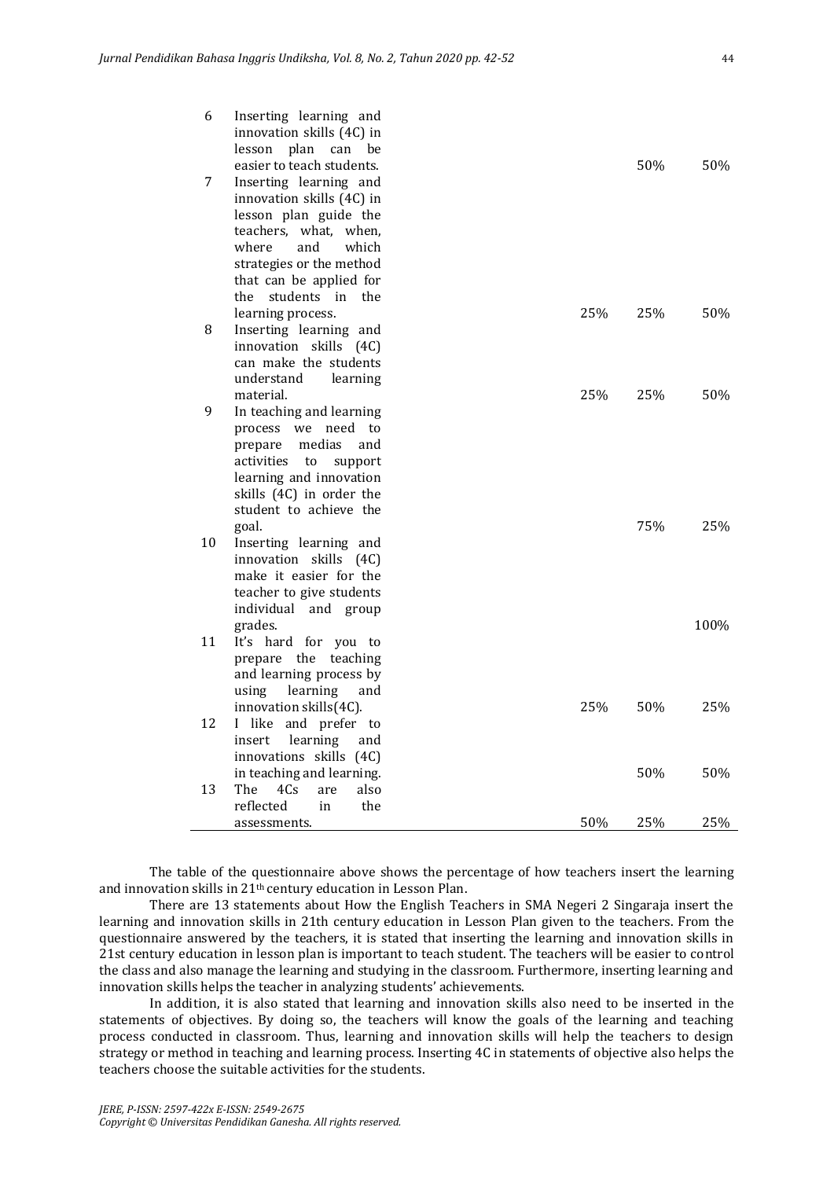| 6  | Inserting learning and<br>innovation skills (4C) in |            |      |
|----|-----------------------------------------------------|------------|------|
|    | plan<br>lesson<br>can<br>be                         |            |      |
|    | easier to teach students.                           | 50%        | 50%  |
| 7  | Inserting learning and                              |            |      |
|    | innovation skills (4C) in                           |            |      |
|    | lesson plan guide the                               |            |      |
|    | teachers, what, when,                               |            |      |
|    | where<br>and<br>which                               |            |      |
|    | strategies or the method                            |            |      |
|    | that can be applied for                             |            |      |
|    | students in<br>the<br>the                           |            |      |
|    | learning process.                                   | 25%<br>25% | 50%  |
| 8  | Inserting learning and                              |            |      |
|    | innovation skills (4C)                              |            |      |
|    | can make the students                               |            |      |
|    | understand<br>learning                              |            |      |
|    | material.                                           | 25%<br>25% | 50%  |
| 9  | In teaching and learning                            |            |      |
|    | we need<br>process<br>to                            |            |      |
|    | medias<br>prepare<br>and                            |            |      |
|    | activities<br>to<br>support                         |            |      |
|    | learning and innovation                             |            |      |
|    | skills (4C) in order the                            |            |      |
|    | student to achieve the                              |            |      |
|    | goal.                                               | 75%        | 25%  |
| 10 | Inserting learning and                              |            |      |
|    | innovation skills (4C)                              |            |      |
|    | make it easier for the                              |            |      |
|    | teacher to give students                            |            |      |
|    | individual and group                                |            |      |
|    | grades.                                             |            | 100% |
| 11 | It's hard for you to                                |            |      |
|    | prepare the teaching                                |            |      |
|    | and learning process by                             |            |      |
|    | using<br>learning<br>and                            |            |      |
|    | innovation skills(4C).                              | 25%<br>50% | 25%  |
| 12 | I like<br>and prefer to                             |            |      |
|    | learning<br>insert<br>and                           |            |      |
|    | innovations skills (4C)                             |            |      |
|    | in teaching and learning.                           | 50%        | 50%  |
| 13 | The<br>4Cs<br>also<br>are                           |            |      |
|    | reflected<br>in<br>the                              |            |      |
|    | assessments.                                        | 50%<br>25% | 25%  |

The table of the questionnaire above shows the percentage of how teachers insert the learning and innovation skills in 21th century education in Lesson Plan.

There are 13 statements about How the English Teachers in SMA Negeri 2 Singaraja insert the learning and innovation skills in 21th century education in Lesson Plan given to the teachers. From the questionnaire answered by the teachers, it is stated that inserting the learning and innovation skills in 21st century education in lesson plan is important to teach student. The teachers will be easier to control the class and also manage the learning and studying in the classroom. Furthermore, inserting learning and innovation skills helps the teacher in analyzing students' achievements.

In addition, it is also stated that learning and innovation skills also need to be inserted in the statements of objectives. By doing so, the teachers will know the goals of the learning and teaching process conducted in classroom. Thus, learning and innovation skills will help the teachers to design strategy or method in teaching and learning process. Inserting 4C in statements of objective also helps the teachers choose the suitable activities for the students.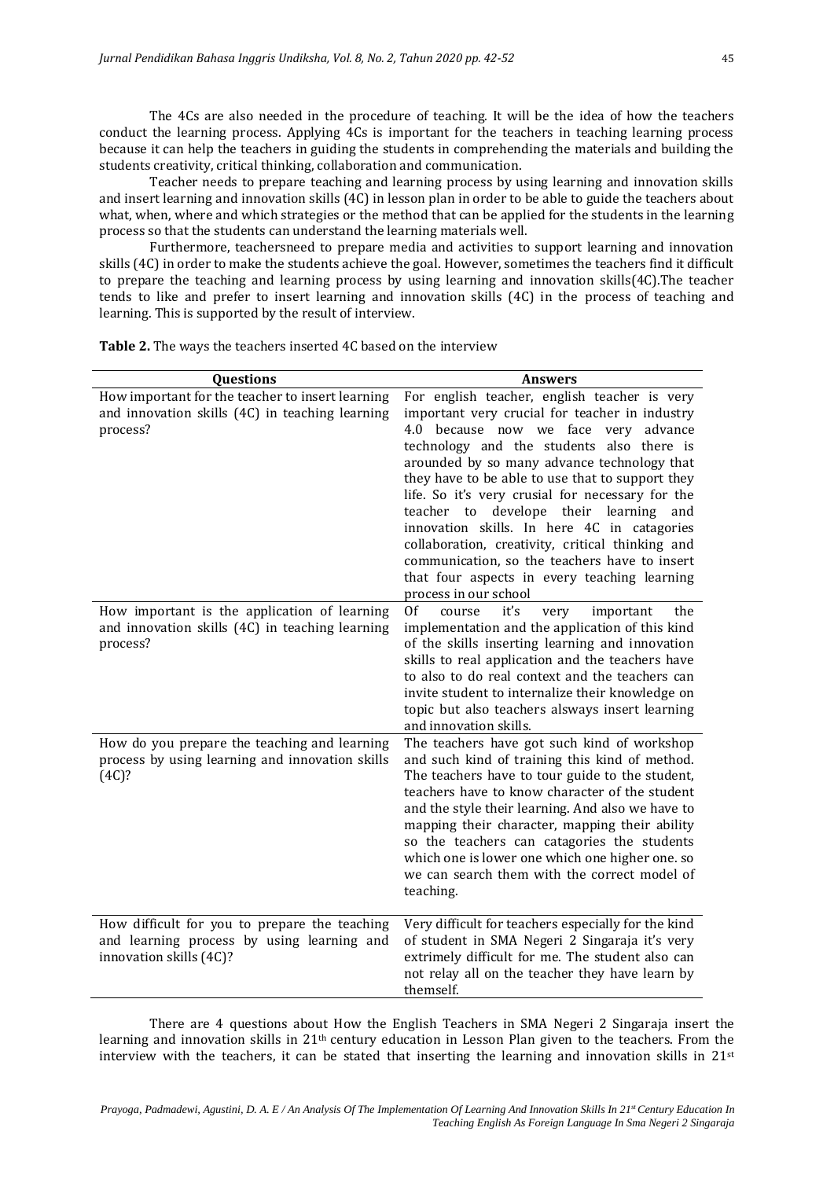The 4Cs are also needed in the procedure of teaching. It will be the idea of how the teachers conduct the learning process. Applying 4Cs is important for the teachers in teaching learning process because it can help the teachers in guiding the students in comprehending the materials and building the students creativity, critical thinking, collaboration and communication.

Teacher needs to prepare teaching and learning process by using learning and innovation skills and insert learning and innovation skills (4C) in lesson plan in order to be able to guide the teachers about what, when, where and which strategies or the method that can be applied for the students in the learning process so that the students can understand the learning materials well.

Furthermore, teachersneed to prepare media and activities to support learning and innovation skills (4C) in order to make the students achieve the goal. However, sometimes the teachers find it difficult to prepare the teaching and learning process by using learning and innovation skills(4C).The teacher tends to like and prefer to insert learning and innovation skills (4C) in the process of teaching and learning. This is supported by the result of interview.

| Questions                                                                                                              | <b>Answers</b>                                                                                                                                                                                                                                                                                                                                                                                                                                                                                                                                                                                                       |  |  |  |
|------------------------------------------------------------------------------------------------------------------------|----------------------------------------------------------------------------------------------------------------------------------------------------------------------------------------------------------------------------------------------------------------------------------------------------------------------------------------------------------------------------------------------------------------------------------------------------------------------------------------------------------------------------------------------------------------------------------------------------------------------|--|--|--|
| How important for the teacher to insert learning<br>and innovation skills (4C) in teaching learning<br>process?        | For english teacher, english teacher is very<br>important very crucial for teacher in industry<br>4.0 because now we face very advance<br>technology and the students also there is<br>arounded by so many advance technology that<br>they have to be able to use that to support they<br>life. So it's very crusial for necessary for the<br>teacher to develope their learning<br>and<br>innovation skills. In here 4C in catagories<br>collaboration, creativity, critical thinking and<br>communication, so the teachers have to insert<br>that four aspects in every teaching learning<br>process in our school |  |  |  |
| How important is the application of learning<br>and innovation skills (4C) in teaching learning<br>process?            | <sup>Of</sup><br>it's<br>important<br>course<br>the<br>very<br>implementation and the application of this kind<br>of the skills inserting learning and innovation<br>skills to real application and the teachers have<br>to also to do real context and the teachers can<br>invite student to internalize their knowledge on<br>topic but also teachers alsways insert learning<br>and innovation skills.                                                                                                                                                                                                            |  |  |  |
| How do you prepare the teaching and learning<br>process by using learning and innovation skills<br>(4C)?               | The teachers have got such kind of workshop<br>and such kind of training this kind of method.<br>The teachers have to tour guide to the student,<br>teachers have to know character of the student<br>and the style their learning. And also we have to<br>mapping their character, mapping their ability<br>so the teachers can catagories the students<br>which one is lower one which one higher one. so<br>we can search them with the correct model of<br>teaching.                                                                                                                                             |  |  |  |
| How difficult for you to prepare the teaching<br>and learning process by using learning and<br>innovation skills (4C)? | Very difficult for teachers especially for the kind<br>of student in SMA Negeri 2 Singaraja it's very<br>extrimely difficult for me. The student also can<br>not relay all on the teacher they have learn by<br>themself.                                                                                                                                                                                                                                                                                                                                                                                            |  |  |  |

**Table 2.** The ways the teachers inserted 4C based on the interview

There are 4 questions about How the English Teachers in SMA Negeri 2 Singaraja insert the learning and innovation skills in 21<sup>th</sup> century education in Lesson Plan given to the teachers. From the interview with the teachers, it can be stated that inserting the learning and innovation skills in  $21^{st}$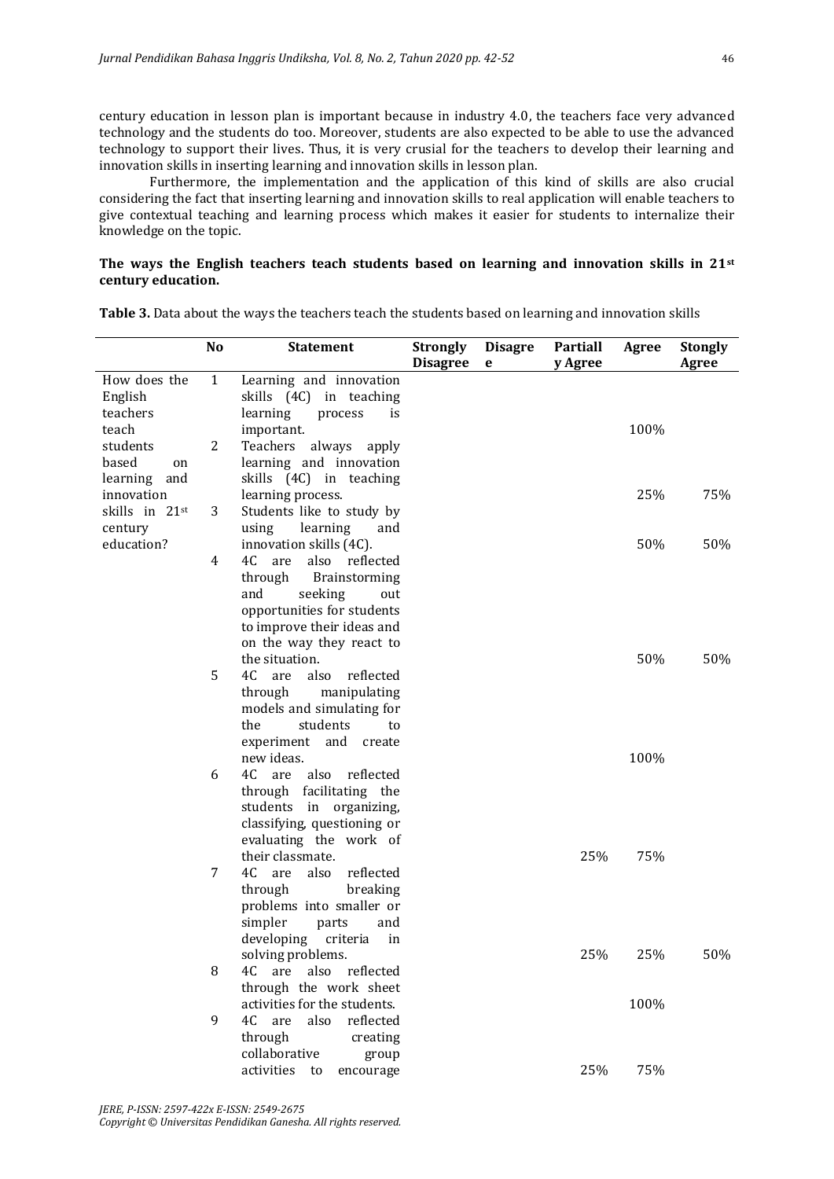century education in lesson plan is important because in industry 4.0, the teachers face very advanced technology and the students do too. Moreover, students are also expected to be able to use the advanced technology to support their lives. Thus, it is very crusial for the teachers to develop their learning and innovation skills in inserting learning and innovation skills in lesson plan.

Furthermore, the implementation and the application of this kind of skills are also crucial considering the fact that inserting learning and innovation skills to real application will enable teachers to give contextual teaching and learning process which makes it easier for students to internalize their knowledge on the topic.

## **The ways the English teachers teach students based on learning and innovation skills in 21st century education.**

|                                | No           | <b>Statement</b>                                                                 | <b>Strongly</b><br><b>Disagree</b> | <b>Disagre</b><br>e | <b>Partiall</b><br>y Agree | Agree | <b>Stongly</b><br>Agree |
|--------------------------------|--------------|----------------------------------------------------------------------------------|------------------------------------|---------------------|----------------------------|-------|-------------------------|
| How does the<br>English        | $\mathbf{1}$ | Learning and innovation<br>skills (4C) in teaching                               |                                    |                     |                            |       |                         |
| teachers<br>teach<br>students  | 2            | learning<br>process<br>is<br>important.<br>Teachers<br>always<br>apply           |                                    |                     |                            | 100%  |                         |
| based<br>on<br>learning<br>and |              | learning and innovation<br>skills (4C) in teaching                               |                                    |                     |                            |       |                         |
| innovation<br>skills in 21st   | 3            | learning process.<br>Students like to study by                                   |                                    |                     |                            | 25%   | 75%                     |
| century<br>education?          |              | learning<br>using<br>and<br>innovation skills (4C).                              |                                    |                     |                            | 50%   | 50%                     |
|                                | 4            | 4C<br>are<br>also reflected<br>through<br>Brainstorming<br>and<br>seeking<br>out |                                    |                     |                            |       |                         |
|                                |              | opportunities for students<br>to improve their ideas and                         |                                    |                     |                            |       |                         |
|                                |              | on the way they react to<br>the situation.                                       |                                    |                     |                            | 50%   | 50%                     |
|                                | 5            | 4C<br>also<br>reflected<br>are<br>through<br>manipulating                        |                                    |                     |                            |       |                         |
|                                |              | models and simulating for<br>the<br>students<br>to<br>experiment and<br>create   |                                    |                     |                            |       |                         |
|                                | 6            | new ideas.<br>4C<br>also<br>reflected<br>are                                     |                                    |                     |                            | 100%  |                         |
|                                |              | through<br>facilitating the<br>students<br>organizing,<br>in                     |                                    |                     |                            |       |                         |
|                                |              | classifying, questioning or<br>evaluating the work of<br>their classmate.        |                                    |                     | 25%                        | 75%   |                         |
|                                | 7            | 4C<br>also<br>reflected<br>are<br>through<br>breaking                            |                                    |                     |                            |       |                         |
|                                |              | problems into smaller or<br>simpler<br>parts<br>and                              |                                    |                     |                            |       |                         |
|                                | 8            | developing<br>criteria<br>in<br>solving problems.<br>also<br>reflected<br>4C     |                                    |                     | 25%                        | 25%   | 50%                     |
|                                |              | are<br>through the work sheet<br>activities for the students.                    |                                    |                     |                            | 100%  |                         |
|                                | 9            | 4C<br>are<br>also<br>reflected<br>through<br>creating                            |                                    |                     |                            |       |                         |
|                                |              | collaborative<br>group<br>activities<br>to<br>encourage                          |                                    |                     | 25%                        | 75%   |                         |

**Table 3.** Data about the ways the teachers teach the students based on learning and innovation skills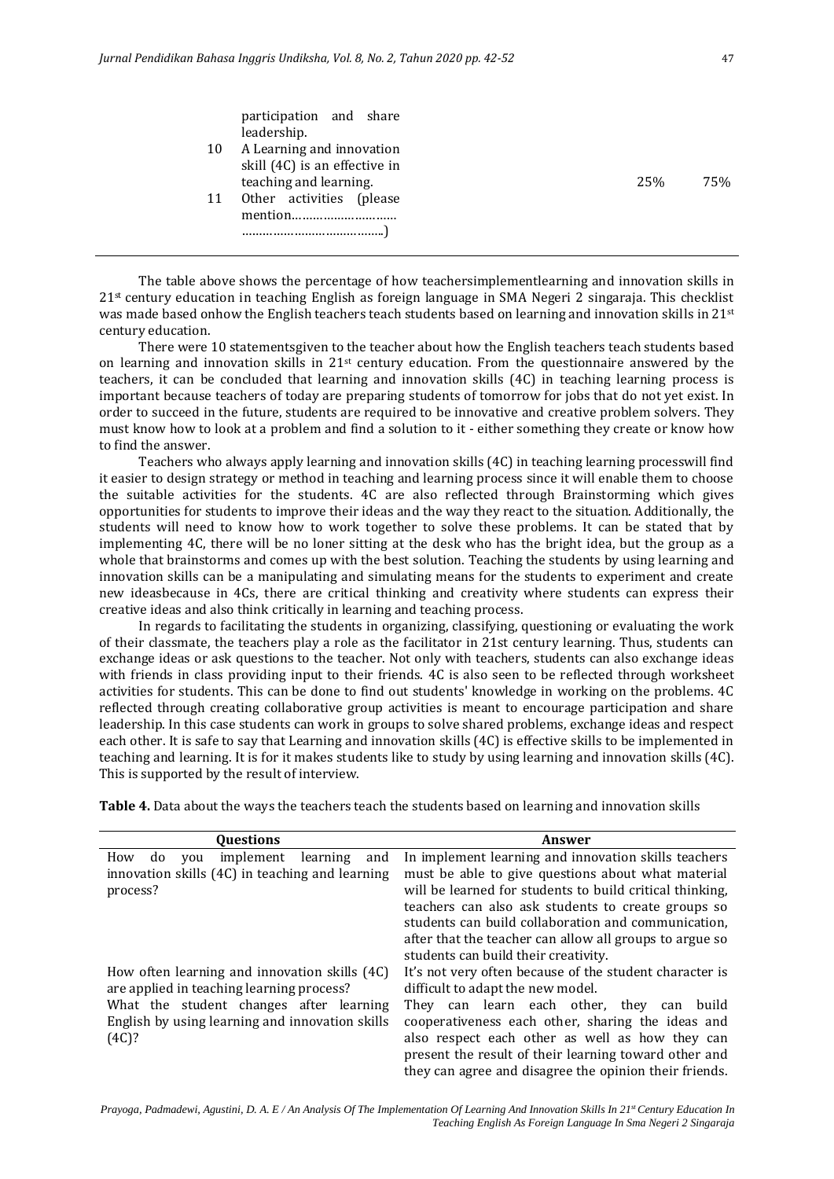|    | participation and share<br>leadership. |     |     |
|----|----------------------------------------|-----|-----|
| 10 | A Learning and innovation              |     |     |
|    | skill (4C) is an effective in          |     |     |
|    | teaching and learning.                 | 25% | 75% |
| 11 | Other activities (please               |     |     |
|    |                                        |     |     |
|    |                                        |     |     |
|    |                                        |     |     |
|    |                                        |     |     |

The table above shows the percentage of how teachersimplementlearning and innovation skills in 21st century education in teaching English as foreign language in SMA Negeri 2 singaraja. This checklist was made based onhow the English teachers teach students based on learning and innovation skills in 21st century education.

There were 10 statementsgiven to the teacher about how the English teachers teach students based on learning and innovation skills in  $21<sup>st</sup>$  century education. From the questionnaire answered by the teachers, it can be concluded that learning and innovation skills (4C) in teaching learning process is important because teachers of today are preparing students of tomorrow for jobs that do not yet exist. In order to succeed in the future, students are required to be innovative and creative problem solvers. They must know how to look at a problem and find a solution to it - either something they create or know how to find the answer.

Teachers who always apply learning and innovation skills (4C) in teaching learning processwill find it easier to design strategy or method in teaching and learning process since it will enable them to choose the suitable activities for the students. 4C are also reflected through Brainstorming which gives opportunities for students to improve their ideas and the way they react to the situation. Additionally, the students will need to know how to work together to solve these problems. It can be stated that by implementing 4C, there will be no loner sitting at the desk who has the bright idea, but the group as a whole that brainstorms and comes up with the best solution. Teaching the students by using learning and innovation skills can be a manipulating and simulating means for the students to experiment and create new ideasbecause in 4Cs, there are critical thinking and creativity where students can express their creative ideas and also think critically in learning and teaching process.

In regards to facilitating the students in organizing, classifying, questioning or evaluating the work of their classmate, the teachers play a role as the facilitator in 21st century learning. Thus, students can exchange ideas or ask questions to the teacher. Not only with teachers, students can also exchange ideas with friends in class providing input to their friends. 4C is also seen to be reflected through worksheet activities for students. This can be done to find out students' knowledge in working on the problems. 4C reflected through creating collaborative group activities is meant to encourage participation and share leadership. In this case students can work in groups to solve shared problems, exchange ideas and respect each other. It is safe to say that Learning and innovation skills (4C) is effective skills to be implemented in teaching and learning. It is for it makes students like to study by using learning and innovation skills (4C). This is supported by the result of interview.

**Table 4.** Data about the ways the teachers teach the students based on learning and innovation skills

| <b>Ouestions</b>                                 | Answer                                                   |
|--------------------------------------------------|----------------------------------------------------------|
| implement<br>How<br>learning<br>and<br>do<br>vou | In implement learning and innovation skills teachers     |
| innovation skills (4C) in teaching and learning  | must be able to give questions about what material       |
| process?                                         | will be learned for students to build critical thinking, |
|                                                  | teachers can also ask students to create groups so       |
|                                                  | students can build collaboration and communication,      |
|                                                  | after that the teacher can allow all groups to argue so  |
|                                                  | students can build their creativity.                     |
| How often learning and innovation skills (4C)    | It's not very often because of the student character is  |
| are applied in teaching learning process?        | difficult to adapt the new model.                        |
| What the student changes after learning          | They can learn each other, they can build                |
| English by using learning and innovation skills  | cooperativeness each other, sharing the ideas and        |
| $(4C)$ ?                                         | also respect each other as well as how they can          |
|                                                  | present the result of their learning toward other and    |
|                                                  | they can agree and disagree the opinion their friends.   |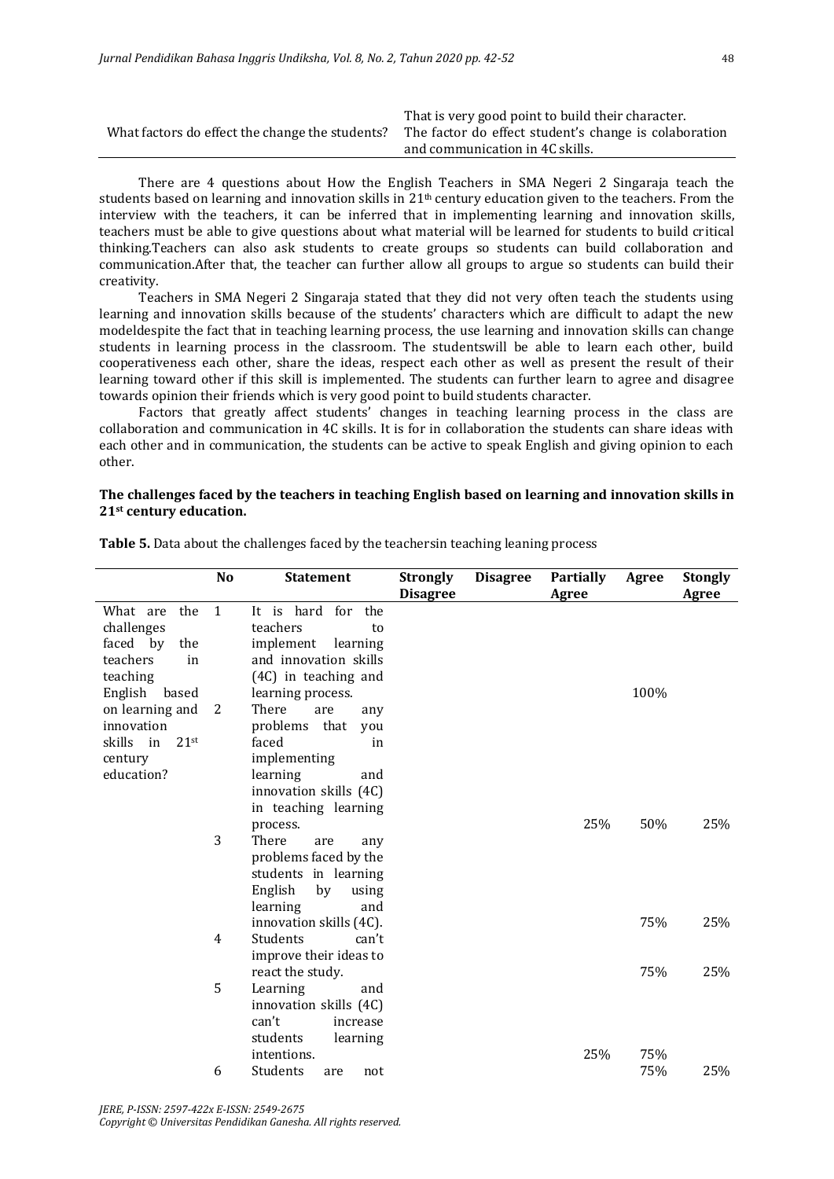|                                                 | That is very good point to build their character.     |
|-------------------------------------------------|-------------------------------------------------------|
| What factors do effect the change the students? | The factor do effect student's change is colaboration |
|                                                 | and communication in 4C skills.                       |

There are 4 questions about How the English Teachers in SMA Negeri 2 Singaraja teach the students based on learning and innovation skills in  $21<sup>th</sup>$  century education given to the teachers. From the interview with the teachers, it can be inferred that in implementing learning and innovation skills, teachers must be able to give questions about what material will be learned for students to build critical thinking.Teachers can also ask students to create groups so students can build collaboration and communication.After that, the teacher can further allow all groups to argue so students can build their creativity.

Teachers in SMA Negeri 2 Singaraja stated that they did not very often teach the students using learning and innovation skills because of the students' characters which are difficult to adapt the new modeldespite the fact that in teaching learning process, the use learning and innovation skills can change students in learning process in the classroom. The studentswill be able to learn each other, build cooperativeness each other, share the ideas, respect each other as well as present the result of their learning toward other if this skill is implemented. The students can further learn to agree and disagree towards opinion their friends which is very good point to build students character.

Factors that greatly affect students' changes in teaching learning process in the class are collaboration and communication in 4C skills. It is for in collaboration the students can share ideas with each other and in communication, the students can be active to speak English and giving opinion to each other.

### **The challenges faced by the teachers in teaching English based on learning and innovation skills in 21st century education.**

|                      | N <sub>o</sub> | Statement                        | <b>Strongly</b><br><b>Disagree</b> | <b>Disagree</b> | <b>Partially</b><br>Agree | Agree | <b>Stongly</b><br>Agree |
|----------------------|----------------|----------------------------------|------------------------------------|-----------------|---------------------------|-------|-------------------------|
| What are the         | $\mathbf{1}$   | It is hard for the               |                                    |                 |                           |       |                         |
| challenges           |                | teachers<br>to                   |                                    |                 |                           |       |                         |
| faced by<br>the      |                | implement<br>learning            |                                    |                 |                           |       |                         |
| teachers<br>in       |                | and innovation skills            |                                    |                 |                           |       |                         |
| teaching             |                | (4C) in teaching and             |                                    |                 |                           |       |                         |
| English<br>based     |                | learning process.                |                                    |                 |                           | 100%  |                         |
| on learning and      | 2              | There<br>are<br>any              |                                    |                 |                           |       |                         |
| innovation           |                | problems that<br>vou             |                                    |                 |                           |       |                         |
| skills in<br>$21$ st |                | faced<br>in                      |                                    |                 |                           |       |                         |
| century              |                | implementing                     |                                    |                 |                           |       |                         |
| education?           |                | learning<br>and                  |                                    |                 |                           |       |                         |
|                      |                | innovation skills (4C)           |                                    |                 |                           |       |                         |
|                      |                | in teaching learning<br>process. |                                    |                 | 25%                       | 50%   | 25%                     |
|                      | 3              | There<br>are<br>any              |                                    |                 |                           |       |                         |
|                      |                | problems faced by the            |                                    |                 |                           |       |                         |
|                      |                | students in learning             |                                    |                 |                           |       |                         |
|                      |                | English<br>by<br>using           |                                    |                 |                           |       |                         |
|                      |                | learning<br>and                  |                                    |                 |                           |       |                         |
|                      |                | innovation skills (4C).          |                                    |                 |                           | 75%   | 25%                     |
|                      | 4              | Students<br>can't                |                                    |                 |                           |       |                         |
|                      |                | improve their ideas to           |                                    |                 |                           |       |                         |
|                      |                | react the study.                 |                                    |                 |                           | 75%   | 25%                     |
|                      | 5              | Learning<br>and                  |                                    |                 |                           |       |                         |
|                      |                | innovation skills (4C)           |                                    |                 |                           |       |                         |
|                      |                | can't<br>increase                |                                    |                 |                           |       |                         |
|                      |                | students<br>learning             |                                    |                 |                           |       |                         |
|                      |                | intentions.                      |                                    |                 | 25%                       | 75%   |                         |
|                      | 6              | Students<br>not<br>are           |                                    |                 |                           | 75%   | 25%                     |

**Table 5.** Data about the challenges faced by the teachersin teaching leaning process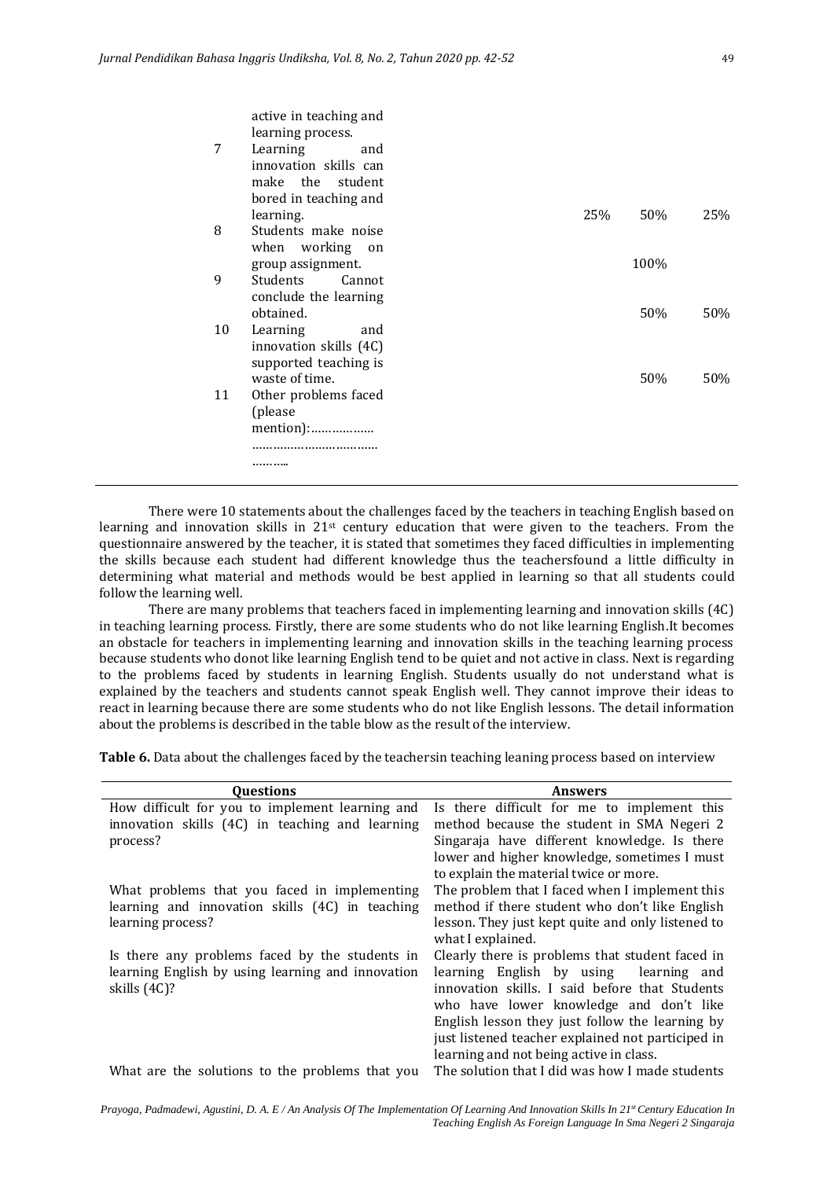| 7  | active in teaching and<br>learning process.<br>Learning<br>and<br>innovation skills can<br>make the student |     |      |     |
|----|-------------------------------------------------------------------------------------------------------------|-----|------|-----|
|    | bored in teaching and<br>learning.                                                                          | 25% | 50%  | 25% |
| 8  | Students make noise                                                                                         |     |      |     |
|    | working<br>when<br>on<br>group assignment.                                                                  |     | 100% |     |
| 9  | Students<br>Cannot<br>conclude the learning<br>obtained.                                                    |     | 50%  | 50% |
| 10 | Learning<br>and<br>innovation skills (4C)<br>supported teaching is                                          |     |      |     |
|    | waste of time.                                                                                              |     | 50%  | 50% |
| 11 | Other problems faced<br>(please<br>mention):                                                                |     |      |     |
|    |                                                                                                             |     |      |     |
|    |                                                                                                             |     |      |     |

There were 10 statements about the challenges faced by the teachers in teaching English based on learning and innovation skills in  $21<sup>st</sup>$  century education that were given to the teachers. From the questionnaire answered by the teacher, it is stated that sometimes they faced difficulties in implementing the skills because each student had different knowledge thus the teachersfound a little difficulty in determining what material and methods would be best applied in learning so that all students could follow the learning well.

There are many problems that teachers faced in implementing learning and innovation skills (4C) in teaching learning process. Firstly, there are some students who do not like learning English.It becomes an obstacle for teachers in implementing learning and innovation skills in the teaching learning process because students who donot like learning English tend to be quiet and not active in class. Next is regarding to the problems faced by students in learning English. Students usually do not understand what is explained by the teachers and students cannot speak English well. They cannot improve their ideas to react in learning because there are some students who do not like English lessons. The detail information about the problems is described in the table blow as the result of the interview.

**Table 6.** Data about the challenges faced by the teachersin teaching leaning process based on interview

| <b>Questions</b>                                  | <b>Answers</b>                                    |
|---------------------------------------------------|---------------------------------------------------|
|                                                   |                                                   |
| How difficult for you to implement learning and   | Is there difficult for me to implement this       |
| innovation skills (4C) in teaching and learning   | method because the student in SMA Negeri 2        |
| process?                                          | Singaraja have different knowledge. Is there      |
|                                                   | lower and higher knowledge, sometimes I must      |
|                                                   | to explain the material twice or more.            |
| What problems that you faced in implementing      | The problem that I faced when I implement this    |
| learning and innovation skills (4C) in teaching   | method if there student who don't like English    |
| learning process?                                 | lesson. They just kept quite and only listened to |
|                                                   | what I explained.                                 |
| Is there any problems faced by the students in    | Clearly there is problems that student faced in   |
| learning English by using learning and innovation | learning English by using<br>learning and         |
| skills (4C)?                                      | innovation skills. I said before that Students    |
|                                                   | who have lower knowledge and don't like           |
|                                                   | English lesson they just follow the learning by   |
|                                                   | just listened teacher explained not participed in |
|                                                   | learning and not being active in class.           |
| What are the solutions to the problems that you   | The solution that I did was how I made students   |
|                                                   |                                                   |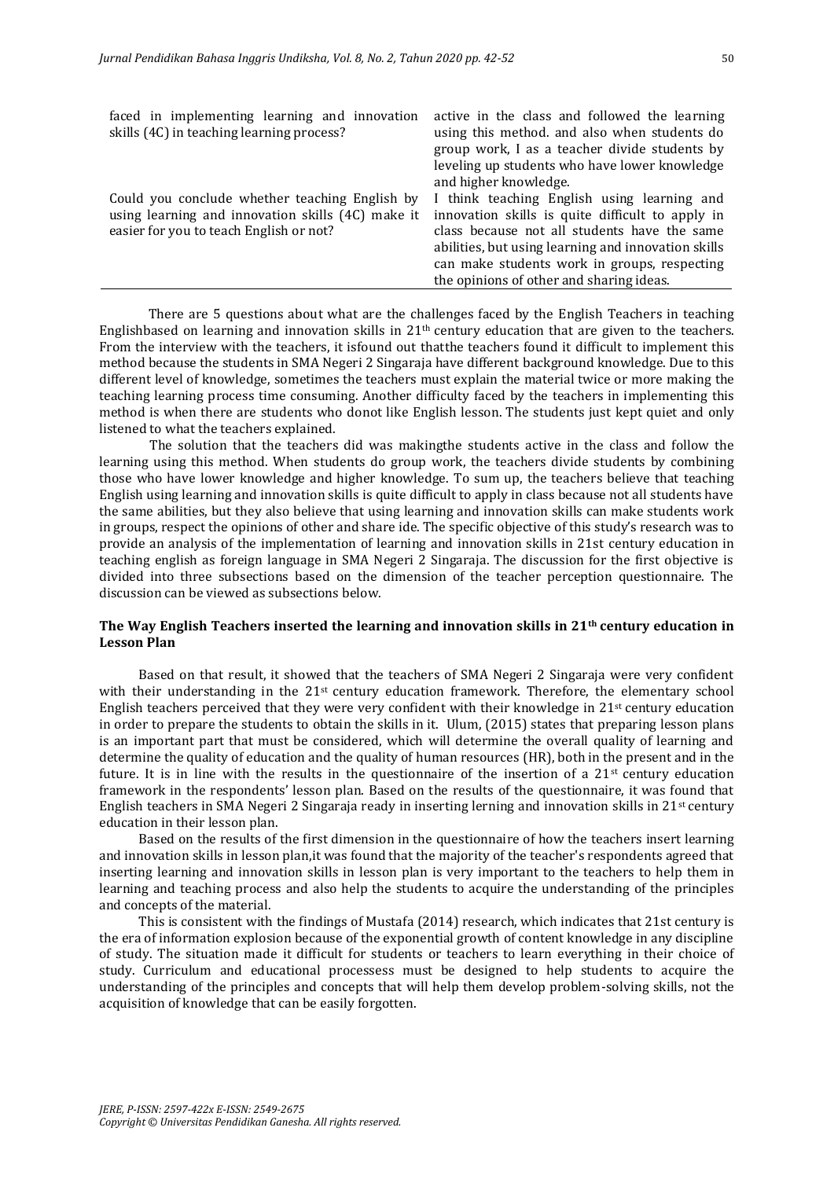| faced in implementing learning and innovation     | active in the class and followed the learning       |
|---------------------------------------------------|-----------------------------------------------------|
| skills (4C) in teaching learning process?         | using this method. and also when students do        |
|                                                   | group work, I as a teacher divide students by       |
|                                                   | leveling up students who have lower knowledge       |
|                                                   | and higher knowledge.                               |
| Could you conclude whether teaching English by    | I think teaching English using learning and         |
| using learning and innovation skills (4C) make it | innovation skills is quite difficult to apply in    |
| easier for you to teach English or not?           | class because not all students have the same        |
|                                                   | abilities, but using learning and innovation skills |
|                                                   | can make students work in groups, respecting        |
|                                                   | the opinions of other and sharing ideas.            |
|                                                   |                                                     |

There are 5 questions about what are the challenges faced by the English Teachers in teaching Englishbased on learning and innovation skills in  $21<sup>th</sup>$  century education that are given to the teachers. From the interview with the teachers, it isfound out thatthe teachers found it difficult to implement this method because the students in SMA Negeri 2 Singaraja have different background knowledge. Due to this different level of knowledge, sometimes the teachers must explain the material twice or more making the teaching learning process time consuming. Another difficulty faced by the teachers in implementing this method is when there are students who donot like English lesson. The students just kept quiet and only listened to what the teachers explained.

The solution that the teachers did was makingthe students active in the class and follow the learning using this method. When students do group work, the teachers divide students by combining those who have lower knowledge and higher knowledge. To sum up, the teachers believe that teaching English using learning and innovation skills is quite difficult to apply in class because not all students have the same abilities, but they also believe that using learning and innovation skills can make students work in groups, respect the opinions of other and share ide. The specific objective of this study's research was to provide an analysis of the implementation of learning and innovation skills in 21st century education in teaching english as foreign language in SMA Negeri 2 Singaraja. The discussion for the first objective is divided into three subsections based on the dimension of the teacher perception questionnaire. The discussion can be viewed as subsections below.

## **The Way English Teachers inserted the learning and innovation skills in 21th century education in Lesson Plan**

Based on that result, it showed that the teachers of SMA Negeri 2 Singaraja were very confident with their understanding in the 21<sup>st</sup> century education framework. Therefore, the elementary school English teachers perceived that they were very confident with their knowledge in  $21<sup>st</sup>$  century education in order to prepare the students to obtain the skills in it. Ulum, (2015) states that preparing lesson plans is an important part that must be considered, which will determine the overall quality of learning and determine the quality of education and the quality of human resources (HR), both in the present and in the future. It is in line with the results in the questionnaire of the insertion of a  $21<sup>st</sup>$  century education framework in the respondents' lesson plan. Based on the results of the questionnaire, it was found that English teachers in SMA Negeri 2 Singaraja ready in inserting lerning and innovation skills in 21st century education in their lesson plan.

Based on the results of the first dimension in the questionnaire of how the teachers insert learning and innovation skills in lesson plan,it was found that the majority of the teacher's respondents agreed that inserting learning and innovation skills in lesson plan is very important to the teachers to help them in learning and teaching process and also help the students to acquire the understanding of the principles and concepts of the material.

This is consistent with the findings of Mustafa (2014) research, which indicates that 21st century is the era of information explosion because of the exponential growth of content knowledge in any discipline of study. The situation made it difficult for students or teachers to learn everything in their choice of study. Curriculum and educational processess must be designed to help students to acquire the understanding of the principles and concepts that will help them develop problem-solving skills, not the acquisition of knowledge that can be easily forgotten.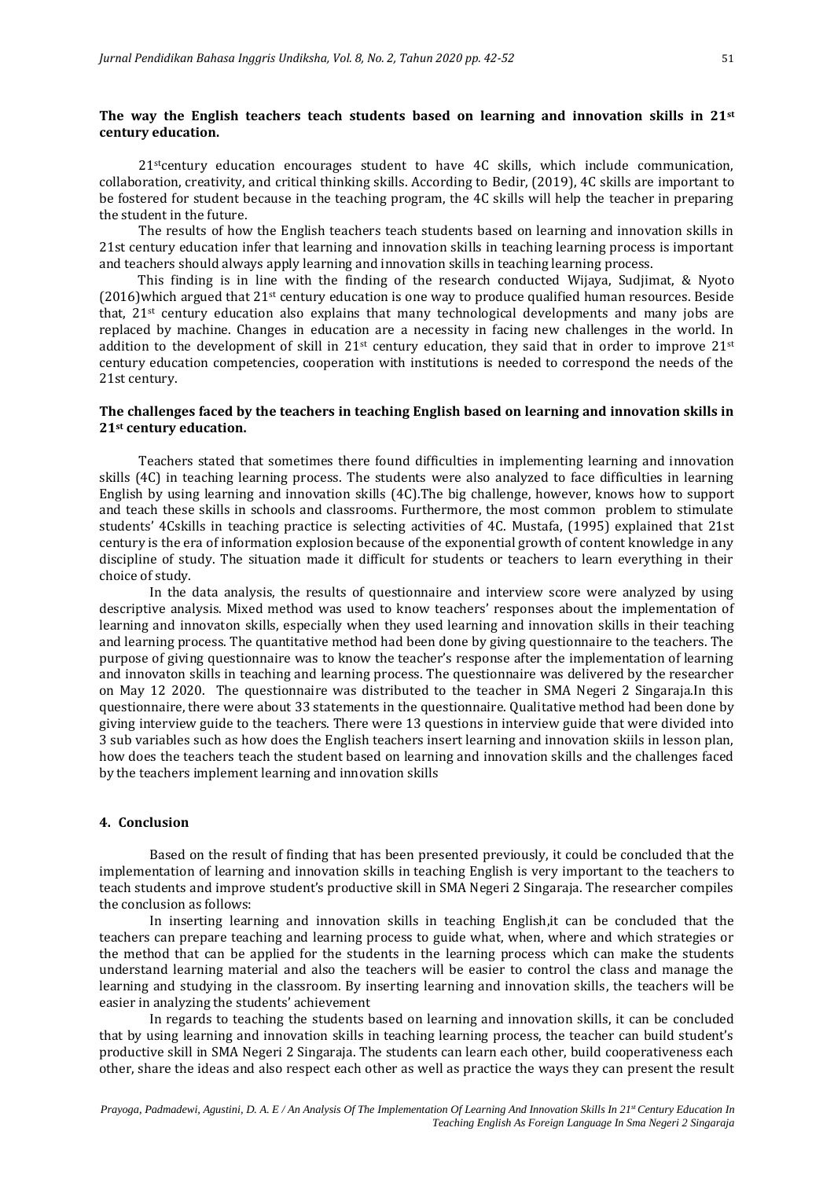# **The way the English teachers teach students based on learning and innovation skills in 21st century education.**

21stcentury education encourages student to have 4C skills, which include communication, collaboration, creativity, and critical thinking skills. According to Bedir, (2019), 4C skills are important to be fostered for student because in the teaching program, the 4C skills will help the teacher in preparing the student in the future.

The results of how the English teachers teach students based on learning and innovation skills in 21st century education infer that learning and innovation skills in teaching learning process is important and teachers should always apply learning and innovation skills in teaching learning process.

This finding is in line with the finding of the research conducted Wijaya, Sudjimat, & Nyoto (2016)which argued that 21st century education is one way to produce qualified human resources. Beside that, 21st century education also explains that many technological developments and many jobs are replaced by machine. Changes in education are a necessity in facing new challenges in the world. In addition to the development of skill in  $21^{st}$  century education, they said that in order to improve  $21^{st}$ century education competencies, cooperation with institutions is needed to correspond the needs of the 21st century.

### **The challenges faced by the teachers in teaching English based on learning and innovation skills in 21st century education.**

Teachers stated that sometimes there found difficulties in implementing learning and innovation skills (4C) in teaching learning process. The students were also analyzed to face difficulties in learning English by using learning and innovation skills (4C).The big challenge, however, knows how to support and teach these skills in schools and classrooms. Furthermore, the most common problem to stimulate students' 4Cskills in teaching practice is selecting activities of 4C. Mustafa, (1995) explained that 21st century is the era of information explosion because of the exponential growth of content knowledge in any discipline of study. The situation made it difficult for students or teachers to learn everything in their choice of study.

In the data analysis, the results of questionnaire and interview score were analyzed by using descriptive analysis. Mixed method was used to know teachers' responses about the implementation of learning and innovaton skills, especially when they used learning and innovation skills in their teaching and learning process. The quantitative method had been done by giving questionnaire to the teachers. The purpose of giving questionnaire was to know the teacher's response after the implementation of learning and innovaton skills in teaching and learning process. The questionnaire was delivered by the researcher on May 12 2020. The questionnaire was distributed to the teacher in SMA Negeri 2 Singaraja.In this questionnaire, there were about 33 statements in the questionnaire. Qualitative method had been done by giving interview guide to the teachers. There were 13 questions in interview guide that were divided into 3 sub variables such as how does the English teachers insert learning and innovation skiils in lesson plan, how does the teachers teach the student based on learning and innovation skills and the challenges faced by the teachers implement learning and innovation skills

# **4. Conclusion**

Based on the result of finding that has been presented previously, it could be concluded that the implementation of learning and innovation skills in teaching English is very important to the teachers to teach students and improve student's productive skill in SMA Negeri 2 Singaraja. The researcher compiles the conclusion as follows:

In inserting learning and innovation skills in teaching English,it can be concluded that the teachers can prepare teaching and learning process to guide what, when, where and which strategies or the method that can be applied for the students in the learning process which can make the students understand learning material and also the teachers will be easier to control the class and manage the learning and studying in the classroom. By inserting learning and innovation skills, the teachers will be easier in analyzing the students' achievement

In regards to teaching the students based on learning and innovation skills, it can be concluded that by using learning and innovation skills in teaching learning process, the teacher can build student's productive skill in SMA Negeri 2 Singaraja. The students can learn each other, build cooperativeness each other, share the ideas and also respect each other as well as practice the ways they can present the result